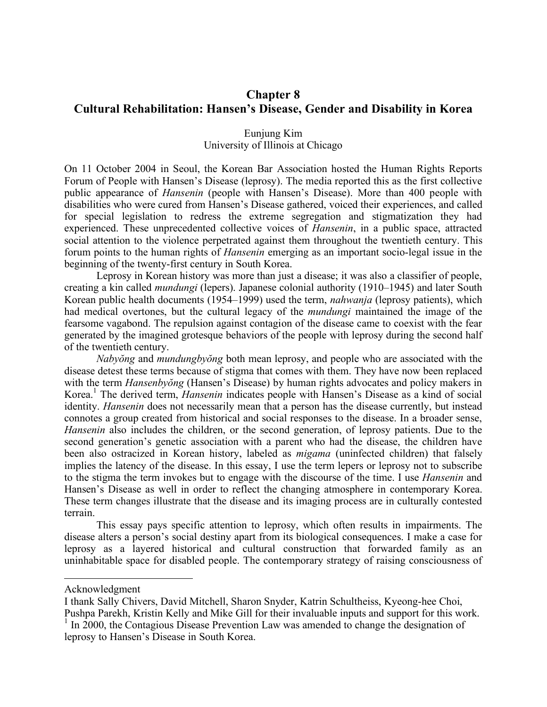# **Chapter 8 Cultural Rehabilitation: Hansen's Disease, Gender and Disability in Korea**

## Eunjung Kim University of Illinois at Chicago

On 11 October 2004 in Seoul, the Korean Bar Association hosted the Human Rights Reports Forum of People with Hansen's Disease (leprosy). The media reported this as the first collective public appearance of *Hansenin* (people with Hansen's Disease). More than 400 people with disabilities who were cured from Hansen's Disease gathered, voiced their experiences, and called for special legislation to redress the extreme segregation and stigmatization they had experienced. These unprecedented collective voices of *Hansenin*, in a public space, attracted social attention to the violence perpetrated against them throughout the twentieth century. This forum points to the human rights of *Hansenin* emerging as an important socio-legal issue in the beginning of the twenty-first century in South Korea.

Leprosy in Korean history was more than just a disease; it was also a classifier of people, creating a kin called *mundungi* (lepers). Japanese colonial authority (1910–1945) and later South Korean public health documents (1954–1999) used the term, *nahwanja* (leprosy patients), which had medical overtones, but the cultural legacy of the *mundungi* maintained the image of the fearsome vagabond. The repulsion against contagion of the disease came to coexist with the fear generated by the imagined grotesque behaviors of the people with leprosy during the second half of the twentieth century.

*Nabyŏng* and *mundungbyŏng* both mean leprosy, and people who are associated with the disease detest these terms because of stigma that comes with them. They have now been replaced with the term *Hansenbyŏng* (Hansen's Disease) by human rights advocates and policy makers in Korea. <sup>1</sup> The derived term, *Hansenin* indicates people with Hansen's Disease as a kind of social identity. *Hansenin* does not necessarily mean that a person has the disease currently, but instead connotes a group created from historical and social responses to the disease. In a broader sense, *Hansenin* also includes the children, or the second generation, of leprosy patients. Due to the second generation's genetic association with a parent who had the disease, the children have been also ostracized in Korean history, labeled as *migama* (uninfected children) that falsely implies the latency of the disease. In this essay, I use the term lepers or leprosy not to subscribe to the stigma the term invokes but to engage with the discourse of the time. I use *Hansenin* and Hansen's Disease as well in order to reflect the changing atmosphere in contemporary Korea. These term changes illustrate that the disease and its imaging process are in culturally contested terrain.

This essay pays specific attention to leprosy, which often results in impairments. The disease alters a person's social destiny apart from its biological consequences. I make a case for leprosy as a layered historical and cultural construction that forwarded family as an uninhabitable space for disabled people. The contemporary strategy of raising consciousness of

 $\overline{a}$ 

Acknowledgment

I thank Sally Chivers, David Mitchell, Sharon Snyder, Katrin Schultheiss, Kyeong-hee Choi, Pushpa Parekh, Kristin Kelly and Mike Gill for their invaluable inputs and support for this work.<br><sup>1</sup> In 2000, the Contagious Disease Prevention Law was amended to change the designation of

leprosy to Hansen's Disease in South Korea.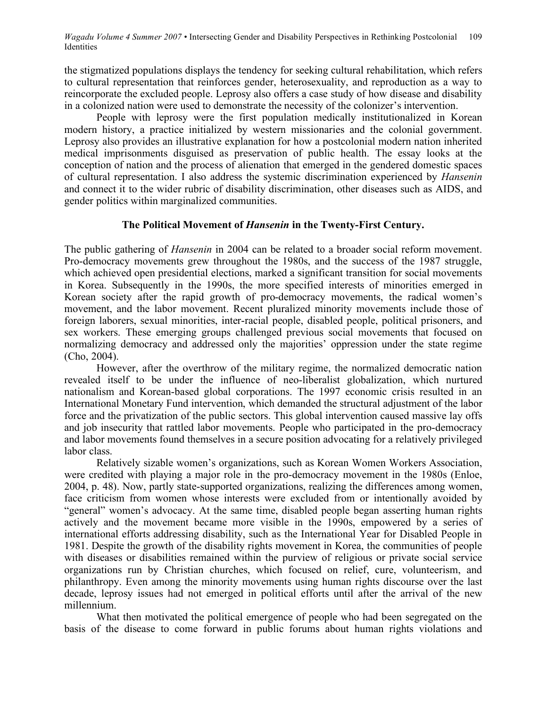the stigmatized populations displays the tendency for seeking cultural rehabilitation, which refers to cultural representation that reinforces gender, heterosexuality, and reproduction as a way to reincorporate the excluded people. Leprosy also offers a case study of how disease and disability in a colonized nation were used to demonstrate the necessity of the colonizer's intervention.

People with leprosy were the first population medically institutionalized in Korean modern history, a practice initialized by western missionaries and the colonial government. Leprosy also provides an illustrative explanation for how a postcolonial modern nation inherited medical imprisonments disguised as preservation of public health. The essay looks at the conception of nation and the process of alienation that emerged in the gendered domestic spaces of cultural representation. I also address the systemic discrimination experienced by *Hansenin* and connect it to the wider rubric of disability discrimination, other diseases such as AIDS, and gender politics within marginalized communities.

#### **The Political Movement of** *Hansenin* **in the Twenty-First Century.**

The public gathering of *Hansenin* in 2004 can be related to a broader social reform movement. Pro-democracy movements grew throughout the 1980s, and the success of the 1987 struggle, which achieved open presidential elections, marked a significant transition for social movements in Korea. Subsequently in the 1990s, the more specified interests of minorities emerged in Korean society after the rapid growth of pro-democracy movements, the radical women's movement, and the labor movement. Recent pluralized minority movements include those of foreign laborers, sexual minorities, inter-racial people, disabled people, political prisoners, and sex workers. These emerging groups challenged previous social movements that focused on normalizing democracy and addressed only the majorities' oppression under the state regime (Cho, 2004).

However, after the overthrow of the military regime, the normalized democratic nation revealed itself to be under the influence of neo-liberalist globalization, which nurtured nationalism and Korean-based global corporations. The 1997 economic crisis resulted in an International Monetary Fund intervention, which demanded the structural adjustment of the labor force and the privatization of the public sectors. This global intervention caused massive lay offs and job insecurity that rattled labor movements. People who participated in the pro-democracy and labor movements found themselves in a secure position advocating for a relatively privileged labor class.

Relatively sizable women's organizations, such as Korean Women Workers Association, were credited with playing a major role in the pro-democracy movement in the 1980s (Enloe, 2004, p. 48). Now, partly state-supported organizations, realizing the differences among women, face criticism from women whose interests were excluded from or intentionally avoided by "general" women's advocacy. At the same time, disabled people began asserting human rights actively and the movement became more visible in the 1990s, empowered by a series of international efforts addressing disability, such as the International Year for Disabled People in 1981. Despite the growth of the disability rights movement in Korea, the communities of people with diseases or disabilities remained within the purview of religious or private social service organizations run by Christian churches, which focused on relief, cure, volunteerism, and philanthropy. Even among the minority movements using human rights discourse over the last decade, leprosy issues had not emerged in political efforts until after the arrival of the new millennium.

What then motivated the political emergence of people who had been segregated on the basis of the disease to come forward in public forums about human rights violations and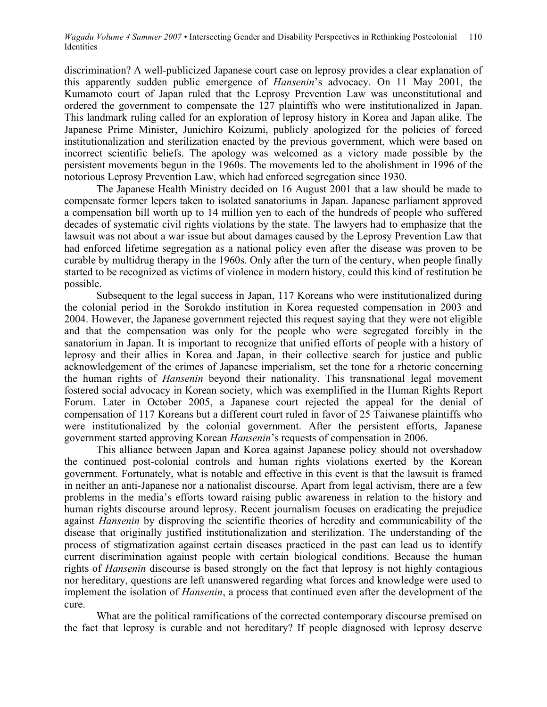discrimination? A well-publicized Japanese court case on leprosy provides a clear explanation of this apparently sudden public emergence of *Hansenin*'s advocacy. On 11 May 2001, the Kumamoto court of Japan ruled that the Leprosy Prevention Law was unconstitutional and ordered the government to compensate the 127 plaintiffs who were institutionalized in Japan. This landmark ruling called for an exploration of leprosy history in Korea and Japan alike. The Japanese Prime Minister, Junichiro Koizumi, publicly apologized for the policies of forced institutionalization and sterilization enacted by the previous government, which were based on incorrect scientific beliefs. The apology was welcomed as a victory made possible by the persistent movements begun in the 1960s. The movements led to the abolishment in 1996 of the notorious Leprosy Prevention Law, which had enforced segregation since 1930.

The Japanese Health Ministry decided on 16 August 2001 that a law should be made to compensate former lepers taken to isolated sanatoriums in Japan. Japanese parliament approved a compensation bill worth up to 14 million yen to each of the hundreds of people who suffered decades of systematic civil rights violations by the state. The lawyers had to emphasize that the lawsuit was not about a war issue but about damages caused by the Leprosy Prevention Law that had enforced lifetime segregation as a national policy even after the disease was proven to be curable by multidrug therapy in the 1960s. Only after the turn of the century, when people finally started to be recognized as victims of violence in modern history, could this kind of restitution be possible.

Subsequent to the legal success in Japan, 117 Koreans who were institutionalized during the colonial period in the Sorokdo institution in Korea requested compensation in 2003 and 2004. However, the Japanese government rejected this request saying that they were not eligible and that the compensation was only for the people who were segregated forcibly in the sanatorium in Japan. It is important to recognize that unified efforts of people with a history of leprosy and their allies in Korea and Japan, in their collective search for justice and public acknowledgement of the crimes of Japanese imperialism, set the tone for a rhetoric concerning the human rights of *Hansenin* beyond their nationality. This transnational legal movement fostered social advocacy in Korean society, which was exemplified in the Human Rights Report Forum. Later in October 2005, a Japanese court rejected the appeal for the denial of compensation of 117 Koreans but a different court ruled in favor of 25 Taiwanese plaintiffs who were institutionalized by the colonial government. After the persistent efforts, Japanese government started approving Korean *Hansenin*'s requests of compensation in 2006.

This alliance between Japan and Korea against Japanese policy should not overshadow the continued post-colonial controls and human rights violations exerted by the Korean government. Fortunately, what is notable and effective in this event is that the lawsuit is framed in neither an anti-Japanese nor a nationalist discourse. Apart from legal activism, there are a few problems in the media's efforts toward raising public awareness in relation to the history and human rights discourse around leprosy. Recent journalism focuses on eradicating the prejudice against *Hansenin* by disproving the scientific theories of heredity and communicability of the disease that originally justified institutionalization and sterilization. The understanding of the process of stigmatization against certain diseases practiced in the past can lead us to identify current discrimination against people with certain biological conditions. Because the human rights of *Hansenin* discourse is based strongly on the fact that leprosy is not highly contagious nor hereditary, questions are left unanswered regarding what forces and knowledge were used to implement the isolation of *Hansenin*, a process that continued even after the development of the cure.

What are the political ramifications of the corrected contemporary discourse premised on the fact that leprosy is curable and not hereditary? If people diagnosed with leprosy deserve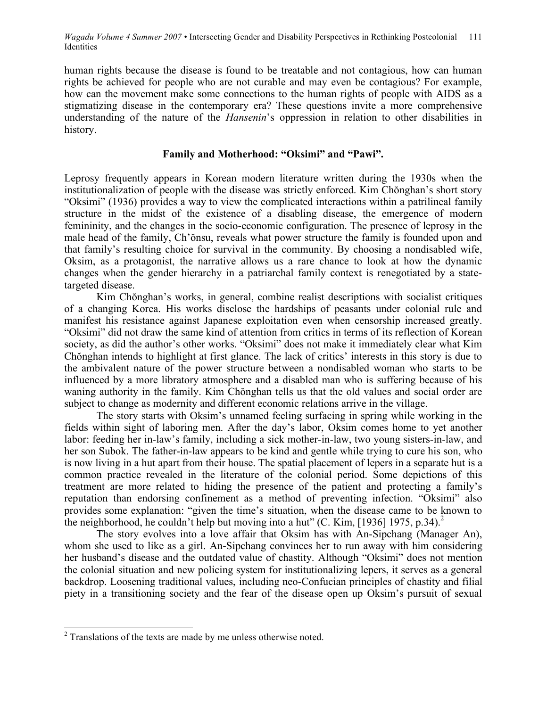human rights because the disease is found to be treatable and not contagious, how can human rights be achieved for people who are not curable and may even be contagious? For example, how can the movement make some connections to the human rights of people with AIDS as a stigmatizing disease in the contemporary era? These questions invite a more comprehensive understanding of the nature of the *Hansenin*'s oppression in relation to other disabilities in history.

## **Family and Motherhood: "Oksimi" and "Pawi".**

Leprosy frequently appears in Korean modern literature written during the 1930s when the institutionalization of people with the disease was strictly enforced. Kim Chŏnghan's short story "Oksimi" (1936) provides a way to view the complicated interactions within a patrilineal family structure in the midst of the existence of a disabling disease, the emergence of modern femininity, and the changes in the socio-economic configuration. The presence of leprosy in the male head of the family, Ch'ŏnsu, reveals what power structure the family is founded upon and that family's resulting choice for survival in the community. By choosing a nondisabled wife, Oksim, as a protagonist, the narrative allows us a rare chance to look at how the dynamic changes when the gender hierarchy in a patriarchal family context is renegotiated by a statetargeted disease.

Kim Chŏnghan's works, in general, combine realist descriptions with socialist critiques of a changing Korea. His works disclose the hardships of peasants under colonial rule and manifest his resistance against Japanese exploitation even when censorship increased greatly. "Oksimi" did not draw the same kind of attention from critics in terms of its reflection of Korean society, as did the author's other works. "Oksimi" does not make it immediately clear what Kim Chŏnghan intends to highlight at first glance. The lack of critics' interests in this story is due to the ambivalent nature of the power structure between a nondisabled woman who starts to be influenced by a more libratory atmosphere and a disabled man who is suffering because of his waning authority in the family. Kim Chŏnghan tells us that the old values and social order are subject to change as modernity and different economic relations arrive in the village.

The story starts with Oksim's unnamed feeling surfacing in spring while working in the fields within sight of laboring men. After the day's labor, Oksim comes home to yet another labor: feeding her in-law's family, including a sick mother-in-law, two young sisters-in-law, and her son Subok. The father-in-law appears to be kind and gentle while trying to cure his son, who is now living in a hut apart from their house. The spatial placement of lepers in a separate hut is a common practice revealed in the literature of the colonial period. Some depictions of this treatment are more related to hiding the presence of the patient and protecting a family's reputation than endorsing confinement as a method of preventing infection. "Oksimi" also provides some explanation: "given the time's situation, when the disease came to be known to the neighborhood, he couldn't help but moving into a hut" (C. Kim, [1936] 1975, p.34).

The story evolves into a love affair that Oksim has with An-Sipchang (Manager An), whom she used to like as a girl. An-Sipchang convinces her to run away with him considering her husband's disease and the outdated value of chastity. Although "Oksimi" does not mention the colonial situation and new policing system for institutionalizing lepers, it serves as a general backdrop. Loosening traditional values, including neo-Confucian principles of chastity and filial piety in a transitioning society and the fear of the disease open up Oksim's pursuit of sexual

<sup>&</sup>lt;sup>2</sup> Translations of the texts are made by me unless otherwise noted.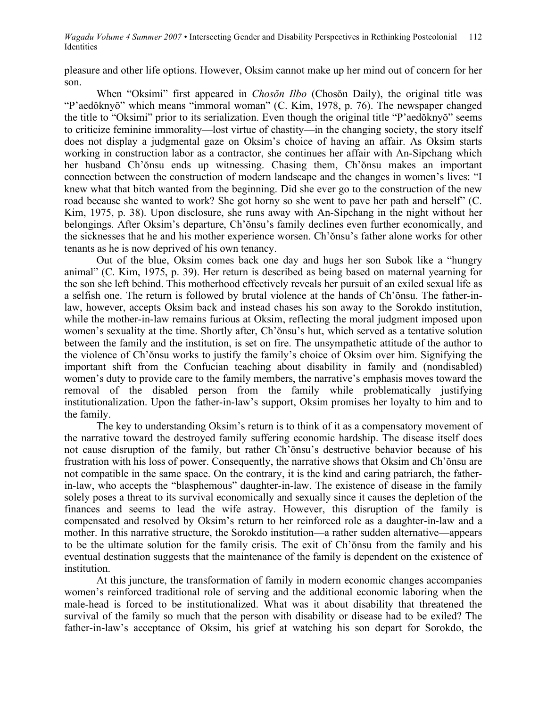pleasure and other life options. However, Oksim cannot make up her mind out of concern for her son.

When "Oksimi" first appeared in *Chosŏn Ilbo* (Chosŏn Daily), the original title was "P'aedŏknyŏ" which means "immoral woman" (C. Kim, 1978, p. 76). The newspaper changed the title to "Oksimi" prior to its serialization. Even though the original title "P'aedŏknyŏ" seems to criticize feminine immorality—lost virtue of chastity—in the changing society, the story itself does not display a judgmental gaze on Oksim's choice of having an affair. As Oksim starts working in construction labor as a contractor, she continues her affair with An-Sipchang which her husband Ch'ŏnsu ends up witnessing. Chasing them, Ch'ŏnsu makes an important connection between the construction of modern landscape and the changes in women's lives: "I knew what that bitch wanted from the beginning. Did she ever go to the construction of the new road because she wanted to work? She got horny so she went to pave her path and herself" (C. Kim, 1975, p. 38). Upon disclosure, she runs away with An-Sipchang in the night without her belongings. After Oksim's departure, Ch'ŏnsu's family declines even further economically, and the sicknesses that he and his mother experience worsen. Ch'ŏnsu's father alone works for other tenants as he is now deprived of his own tenancy.

Out of the blue, Oksim comes back one day and hugs her son Subok like a "hungry animal" (C. Kim, 1975, p. 39). Her return is described as being based on maternal yearning for the son she left behind. This motherhood effectively reveals her pursuit of an exiled sexual life as a selfish one. The return is followed by brutal violence at the hands of Ch'ŏnsu. The father-inlaw, however, accepts Oksim back and instead chases his son away to the Sorokdo institution, while the mother-in-law remains furious at Oksim, reflecting the moral judgment imposed upon women's sexuality at the time. Shortly after, Ch'ŏnsu's hut, which served as a tentative solution between the family and the institution, is set on fire. The unsympathetic attitude of the author to the violence of Ch'ŏnsu works to justify the family's choice of Oksim over him. Signifying the important shift from the Confucian teaching about disability in family and (nondisabled) women's duty to provide care to the family members, the narrative's emphasis moves toward the removal of the disabled person from the family while problematically justifying institutionalization. Upon the father-in-law's support, Oksim promises her loyalty to him and to the family.

The key to understanding Oksim's return is to think of it as a compensatory movement of the narrative toward the destroyed family suffering economic hardship. The disease itself does not cause disruption of the family, but rather Ch'ŏnsu's destructive behavior because of his frustration with his loss of power. Consequently, the narrative shows that Oksim and Ch'ŏnsu are not compatible in the same space. On the contrary, it is the kind and caring patriarch, the fatherin-law, who accepts the "blasphemous" daughter-in-law. The existence of disease in the family solely poses a threat to its survival economically and sexually since it causes the depletion of the finances and seems to lead the wife astray. However, this disruption of the family is compensated and resolved by Oksim's return to her reinforced role as a daughter-in-law and a mother. In this narrative structure, the Sorokdo institution—a rather sudden alternative—appears to be the ultimate solution for the family crisis. The exit of Ch'ŏnsu from the family and his eventual destination suggests that the maintenance of the family is dependent on the existence of institution.

At this juncture, the transformation of family in modern economic changes accompanies women's reinforced traditional role of serving and the additional economic laboring when the male-head is forced to be institutionalized. What was it about disability that threatened the survival of the family so much that the person with disability or disease had to be exiled? The father-in-law's acceptance of Oksim, his grief at watching his son depart for Sorokdo, the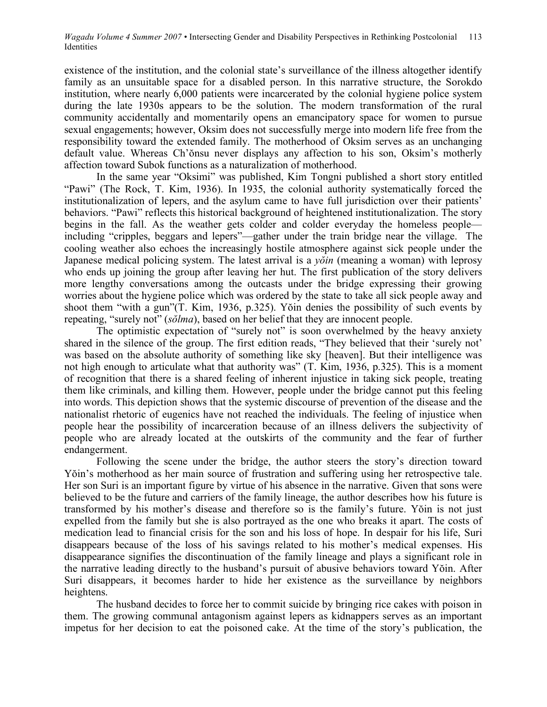existence of the institution, and the colonial state's surveillance of the illness altogether identify family as an unsuitable space for a disabled person. In this narrative structure, the Sorokdo institution, where nearly 6,000 patients were incarcerated by the colonial hygiene police system during the late 1930s appears to be the solution. The modern transformation of the rural community accidentally and momentarily opens an emancipatory space for women to pursue sexual engagements; however, Oksim does not successfully merge into modern life free from the responsibility toward the extended family. The motherhood of Oksim serves as an unchanging default value. Whereas Ch'ŏnsu never displays any affection to his son, Oksim's motherly affection toward Subok functions as a naturalization of motherhood.

In the same year "Oksimi" was published, Kim Tongni published a short story entitled "Pawi" (The Rock, T. Kim, 1936). In 1935, the colonial authority systematically forced the institutionalization of lepers, and the asylum came to have full jurisdiction over their patients' behaviors. "Pawi" reflects this historical background of heightened institutionalization. The story begins in the fall. As the weather gets colder and colder everyday the homeless people including "cripples, beggars and lepers"—gather under the train bridge near the village. The cooling weather also echoes the increasingly hostile atmosphere against sick people under the Japanese medical policing system. The latest arrival is a *yŏin* (meaning a woman) with leprosy who ends up joining the group after leaving her hut. The first publication of the story delivers more lengthy conversations among the outcasts under the bridge expressing their growing worries about the hygiene police which was ordered by the state to take all sick people away and shoot them "with a gun"(T. Kim, 1936, p.325). Yŏin denies the possibility of such events by repeating, "surely not" (*sŏlma*), based on her belief that they are innocent people.

The optimistic expectation of "surely not" is soon overwhelmed by the heavy anxiety shared in the silence of the group. The first edition reads, "They believed that their 'surely not' was based on the absolute authority of something like sky [heaven]. But their intelligence was not high enough to articulate what that authority was" (T. Kim, 1936, p.325). This is a moment of recognition that there is a shared feeling of inherent injustice in taking sick people, treating them like criminals, and killing them. However, people under the bridge cannot put this feeling into words. This depiction shows that the systemic discourse of prevention of the disease and the nationalist rhetoric of eugenics have not reached the individuals. The feeling of injustice when people hear the possibility of incarceration because of an illness delivers the subjectivity of people who are already located at the outskirts of the community and the fear of further endangerment.

Following the scene under the bridge, the author steers the story's direction toward Yŏin's motherhood as her main source of frustration and suffering using her retrospective tale. Her son Suri is an important figure by virtue of his absence in the narrative. Given that sons were believed to be the future and carriers of the family lineage, the author describes how his future is transformed by his mother's disease and therefore so is the family's future. Yŏin is not just expelled from the family but she is also portrayed as the one who breaks it apart. The costs of medication lead to financial crisis for the son and his loss of hope. In despair for his life, Suri disappears because of the loss of his savings related to his mother's medical expenses. His disappearance signifies the discontinuation of the family lineage and plays a significant role in the narrative leading directly to the husband's pursuit of abusive behaviors toward Yŏin. After Suri disappears, it becomes harder to hide her existence as the surveillance by neighbors heightens.

The husband decides to force her to commit suicide by bringing rice cakes with poison in them. The growing communal antagonism against lepers as kidnappers serves as an important impetus for her decision to eat the poisoned cake. At the time of the story's publication, the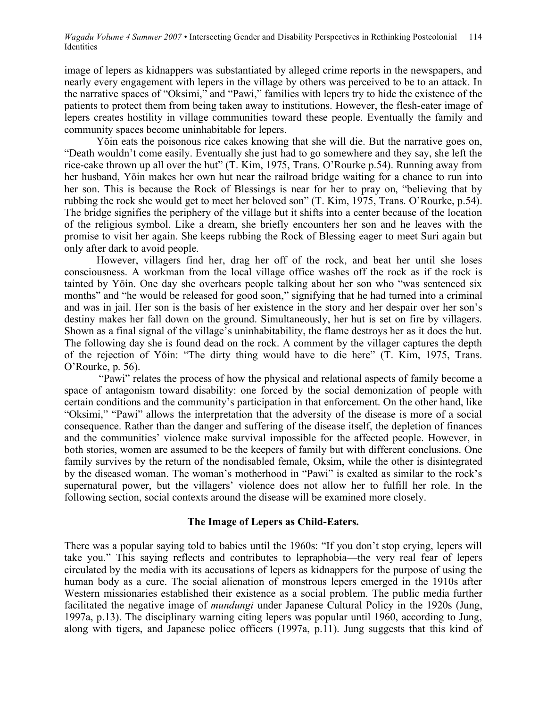image of lepers as kidnappers was substantiated by alleged crime reports in the newspapers, and nearly every engagement with lepers in the village by others was perceived to be to an attack. In the narrative spaces of "Oksimi," and "Pawi," families with lepers try to hide the existence of the patients to protect them from being taken away to institutions. However, the flesh-eater image of lepers creates hostility in village communities toward these people. Eventually the family and community spaces become uninhabitable for lepers.

Yŏin eats the poisonous rice cakes knowing that she will die. But the narrative goes on, "Death wouldn't come easily. Eventually she just had to go somewhere and they say, she left the rice-cake thrown up all over the hut" (T. Kim, 1975, Trans. O'Rourke p.54). Running away from her husband, Yŏin makes her own hut near the railroad bridge waiting for a chance to run into her son. This is because the Rock of Blessings is near for her to pray on, "believing that by rubbing the rock she would get to meet her beloved son" (T. Kim, 1975, Trans. O'Rourke, p.54). The bridge signifies the periphery of the village but it shifts into a center because of the location of the religious symbol. Like a dream, she briefly encounters her son and he leaves with the promise to visit her again. She keeps rubbing the Rock of Blessing eager to meet Suri again but only after dark to avoid people.

However, villagers find her, drag her off of the rock, and beat her until she loses consciousness. A workman from the local village office washes off the rock as if the rock is tainted by Yŏin. One day she overhears people talking about her son who "was sentenced six months" and "he would be released for good soon," signifying that he had turned into a criminal and was in jail. Her son is the basis of her existence in the story and her despair over her son's destiny makes her fall down on the ground. Simultaneously, her hut is set on fire by villagers. Shown as a final signal of the village's uninhabitability, the flame destroys her as it does the hut. The following day she is found dead on the rock. A comment by the villager captures the depth of the rejection of Yŏin: "The dirty thing would have to die here" (T. Kim, 1975, Trans. O'Rourke, p. 56).

"Pawi" relates the process of how the physical and relational aspects of family become a space of antagonism toward disability: one forced by the social demonization of people with certain conditions and the community's participation in that enforcement. On the other hand, like "Oksimi," "Pawi" allows the interpretation that the adversity of the disease is more of a social consequence. Rather than the danger and suffering of the disease itself, the depletion of finances and the communities' violence make survival impossible for the affected people. However, in both stories, women are assumed to be the keepers of family but with different conclusions. One family survives by the return of the nondisabled female, Oksim, while the other is disintegrated by the diseased woman. The woman's motherhood in "Pawi" is exalted as similar to the rock's supernatural power, but the villagers' violence does not allow her to fulfill her role. In the following section, social contexts around the disease will be examined more closely.

## **The Image of Lepers as Child-Eaters.**

There was a popular saying told to babies until the 1960s: "If you don't stop crying, lepers will take you." This saying reflects and contributes to lepraphobia—the very real fear of lepers circulated by the media with its accusations of lepers as kidnappers for the purpose of using the human body as a cure. The social alienation of monstrous lepers emerged in the 1910s after Western missionaries established their existence as a social problem. The public media further facilitated the negative image of *mundungi* under Japanese Cultural Policy in the 1920s (Jung, 1997a, p.13). The disciplinary warning citing lepers was popular until 1960, according to Jung, along with tigers, and Japanese police officers (1997a, p.11). Jung suggests that this kind of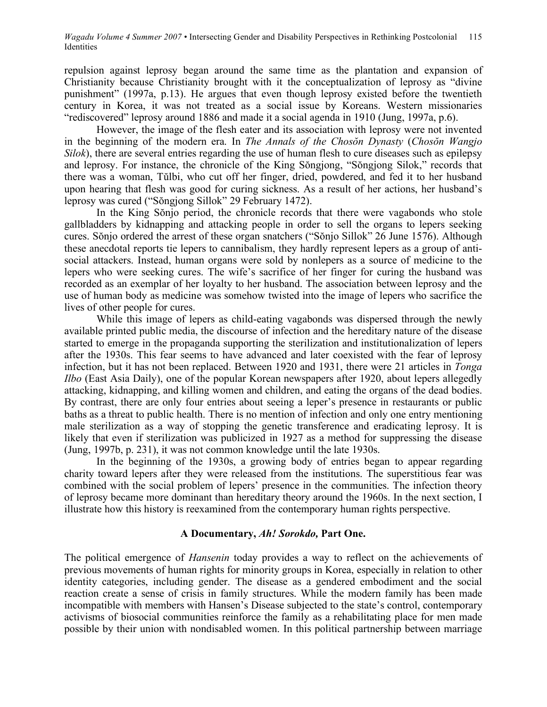repulsion against leprosy began around the same time as the plantation and expansion of Christianity because Christianity brought with it the conceptualization of leprosy as "divine punishment" (1997a, p.13). He argues that even though leprosy existed before the twentieth century in Korea, it was not treated as a social issue by Koreans. Western missionaries "rediscovered" leprosy around 1886 and made it a social agenda in 1910 (Jung, 1997a, p.6).

However, the image of the flesh eater and its association with leprosy were not invented in the beginning of the modern era. In *The Annals of the Chosŏn Dynasty* (*Chosŏn Wangjo Silok*), there are several entries regarding the use of human flesh to cure diseases such as epilepsy and leprosy. For instance, the chronicle of the King Sŏngjong, "Sŏngjong Silok," records that there was a woman, Tŭlbi, who cut off her finger, dried, powdered, and fed it to her husband upon hearing that flesh was good for curing sickness. As a result of her actions, her husband's leprosy was cured ("Sŏngjong Sillok" 29 February 1472).

In the King Sŏnjo period, the chronicle records that there were vagabonds who stole gallbladders by kidnapping and attacking people in order to sell the organs to lepers seeking cures. Sŏnjo ordered the arrest of these organ snatchers ("Sŏnjo Sillok" 26 June 1576). Although these anecdotal reports tie lepers to cannibalism, they hardly represent lepers as a group of antisocial attackers. Instead, human organs were sold by nonlepers as a source of medicine to the lepers who were seeking cures. The wife's sacrifice of her finger for curing the husband was recorded as an exemplar of her loyalty to her husband. The association between leprosy and the use of human body as medicine was somehow twisted into the image of lepers who sacrifice the lives of other people for cures.

While this image of lepers as child-eating vagabonds was dispersed through the newly available printed public media, the discourse of infection and the hereditary nature of the disease started to emerge in the propaganda supporting the sterilization and institutionalization of lepers after the 1930s. This fear seems to have advanced and later coexisted with the fear of leprosy infection, but it has not been replaced. Between 1920 and 1931, there were 21 articles in *Tonga Ilbo* (East Asia Daily), one of the popular Korean newspapers after 1920, about lepers allegedly attacking, kidnapping, and killing women and children, and eating the organs of the dead bodies. By contrast, there are only four entries about seeing a leper's presence in restaurants or public baths as a threat to public health. There is no mention of infection and only one entry mentioning male sterilization as a way of stopping the genetic transference and eradicating leprosy. It is likely that even if sterilization was publicized in 1927 as a method for suppressing the disease (Jung, 1997b, p. 231), it was not common knowledge until the late 1930s.

In the beginning of the 1930s, a growing body of entries began to appear regarding charity toward lepers after they were released from the institutions. The superstitious fear was combined with the social problem of lepers' presence in the communities. The infection theory of leprosy became more dominant than hereditary theory around the 1960s. In the next section, I illustrate how this history is reexamined from the contemporary human rights perspective.

#### **A Documentary,** *Ah! Sorokdo,* **Part One.**

The political emergence of *Hansenin* today provides a way to reflect on the achievements of previous movements of human rights for minority groups in Korea, especially in relation to other identity categories, including gender. The disease as a gendered embodiment and the social reaction create a sense of crisis in family structures. While the modern family has been made incompatible with members with Hansen's Disease subjected to the state's control, contemporary activisms of biosocial communities reinforce the family as a rehabilitating place for men made possible by their union with nondisabled women. In this political partnership between marriage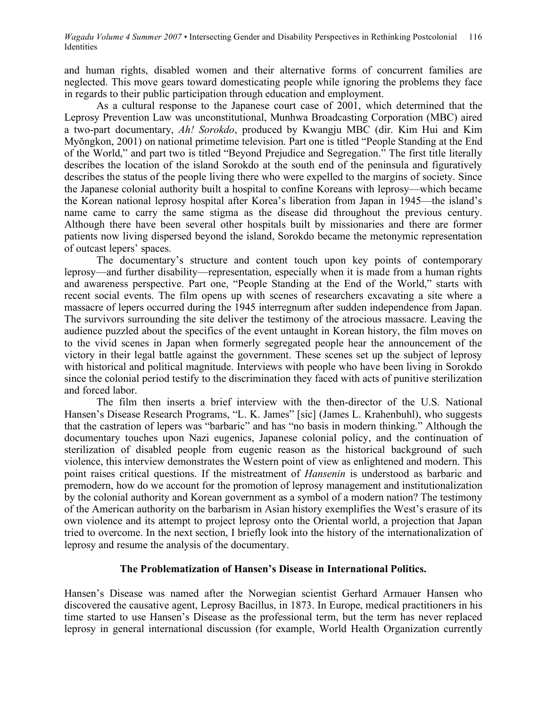and human rights, disabled women and their alternative forms of concurrent families are neglected. This move gears toward domesticating people while ignoring the problems they face in regards to their public participation through education and employment.

As a cultural response to the Japanese court case of 2001, which determined that the Leprosy Prevention Law was unconstitutional, Munhwa Broadcasting Corporation (MBC) aired a two-part documentary, *Ah! Sorokdo*, produced by Kwangju MBC (dir. Kim Hui and Kim Myŏngkon, 2001) on national primetime television. Part one is titled "People Standing at the End of the World," and part two is titled "Beyond Prejudice and Segregation." The first title literally describes the location of the island Sorokdo at the south end of the peninsula and figuratively describes the status of the people living there who were expelled to the margins of society. Since the Japanese colonial authority built a hospital to confine Koreans with leprosy—which became the Korean national leprosy hospital after Korea's liberation from Japan in 1945—the island's name came to carry the same stigma as the disease did throughout the previous century. Although there have been several other hospitals built by missionaries and there are former patients now living dispersed beyond the island, Sorokdo became the metonymic representation of outcast lepers' spaces.

The documentary's structure and content touch upon key points of contemporary leprosy—and further disability—representation, especially when it is made from a human rights and awareness perspective. Part one, "People Standing at the End of the World," starts with recent social events. The film opens up with scenes of researchers excavating a site where a massacre of lepers occurred during the 1945 interregnum after sudden independence from Japan. The survivors surrounding the site deliver the testimony of the atrocious massacre. Leaving the audience puzzled about the specifics of the event untaught in Korean history, the film moves on to the vivid scenes in Japan when formerly segregated people hear the announcement of the victory in their legal battle against the government. These scenes set up the subject of leprosy with historical and political magnitude. Interviews with people who have been living in Sorokdo since the colonial period testify to the discrimination they faced with acts of punitive sterilization and forced labor.

The film then inserts a brief interview with the then-director of the U.S. National Hansen's Disease Research Programs, "L. K. James" [sic] (James L. Krahenbuhl), who suggests that the castration of lepers was "barbaric" and has "no basis in modern thinking." Although the documentary touches upon Nazi eugenics, Japanese colonial policy, and the continuation of sterilization of disabled people from eugenic reason as the historical background of such violence, this interview demonstrates the Western point of view as enlightened and modern. This point raises critical questions. If the mistreatment of *Hansenin* is understood as barbaric and premodern, how do we account for the promotion of leprosy management and institutionalization by the colonial authority and Korean government as a symbol of a modern nation? The testimony of the American authority on the barbarism in Asian history exemplifies the West's erasure of its own violence and its attempt to project leprosy onto the Oriental world, a projection that Japan tried to overcome. In the next section, I briefly look into the history of the internationalization of leprosy and resume the analysis of the documentary.

## **The Problematization of Hansen's Disease in International Politics.**

Hansen's Disease was named after the Norwegian scientist Gerhard Armauer Hansen who discovered the causative agent, Leprosy Bacillus, in 1873. In Europe, medical practitioners in his time started to use Hansen's Disease as the professional term, but the term has never replaced leprosy in general international discussion (for example, World Health Organization currently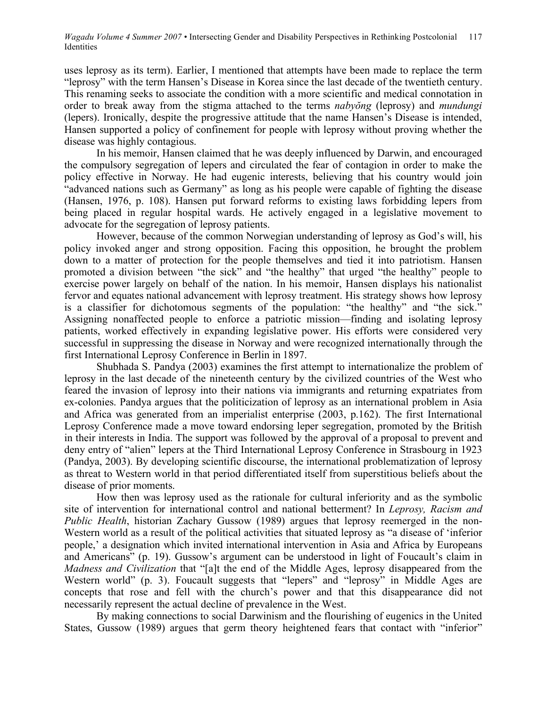uses leprosy as its term). Earlier, I mentioned that attempts have been made to replace the term "leprosy" with the term Hansen's Disease in Korea since the last decade of the twentieth century. This renaming seeks to associate the condition with a more scientific and medical connotation in order to break away from the stigma attached to the terms *nabyŏng* (leprosy) and *mundungi* (lepers). Ironically, despite the progressive attitude that the name Hansen's Disease is intended, Hansen supported a policy of confinement for people with leprosy without proving whether the disease was highly contagious.

In his memoir, Hansen claimed that he was deeply influenced by Darwin, and encouraged the compulsory segregation of lepers and circulated the fear of contagion in order to make the policy effective in Norway. He had eugenic interests, believing that his country would join "advanced nations such as Germany" as long as his people were capable of fighting the disease (Hansen, 1976, p. 108). Hansen put forward reforms to existing laws forbidding lepers from being placed in regular hospital wards. He actively engaged in a legislative movement to advocate for the segregation of leprosy patients.

However, because of the common Norwegian understanding of leprosy as God's will, his policy invoked anger and strong opposition. Facing this opposition, he brought the problem down to a matter of protection for the people themselves and tied it into patriotism. Hansen promoted a division between "the sick" and "the healthy" that urged "the healthy" people to exercise power largely on behalf of the nation. In his memoir, Hansen displays his nationalist fervor and equates national advancement with leprosy treatment. His strategy shows how leprosy is a classifier for dichotomous segments of the population: "the healthy" and "the sick." Assigning nonaffected people to enforce a patriotic mission—finding and isolating leprosy patients, worked effectively in expanding legislative power. His efforts were considered very successful in suppressing the disease in Norway and were recognized internationally through the first International Leprosy Conference in Berlin in 1897.

Shubhada S. Pandya (2003) examines the first attempt to internationalize the problem of leprosy in the last decade of the nineteenth century by the civilized countries of the West who feared the invasion of leprosy into their nations via immigrants and returning expatriates from ex-colonies. Pandya argues that the politicization of leprosy as an international problem in Asia and Africa was generated from an imperialist enterprise (2003, p.162). The first International Leprosy Conference made a move toward endorsing leper segregation, promoted by the British in their interests in India. The support was followed by the approval of a proposal to prevent and deny entry of "alien" lepers at the Third International Leprosy Conference in Strasbourg in 1923 (Pandya, 2003). By developing scientific discourse, the international problematization of leprosy as threat to Western world in that period differentiated itself from superstitious beliefs about the disease of prior moments.

How then was leprosy used as the rationale for cultural inferiority and as the symbolic site of intervention for international control and national betterment? In *Leprosy, Racism and Public Health*, historian Zachary Gussow (1989) argues that leprosy reemerged in the non-Western world as a result of the political activities that situated leprosy as "a disease of 'inferior people,' a designation which invited international intervention in Asia and Africa by Europeans and Americans" (p. 19). Gussow's argument can be understood in light of Foucault's claim in *Madness and Civilization* that "[a]t the end of the Middle Ages, leprosy disappeared from the Western world" (p. 3). Foucault suggests that "lepers" and "leprosy" in Middle Ages are concepts that rose and fell with the church's power and that this disappearance did not necessarily represent the actual decline of prevalence in the West.

By making connections to social Darwinism and the flourishing of eugenics in the United States, Gussow (1989) argues that germ theory heightened fears that contact with "inferior"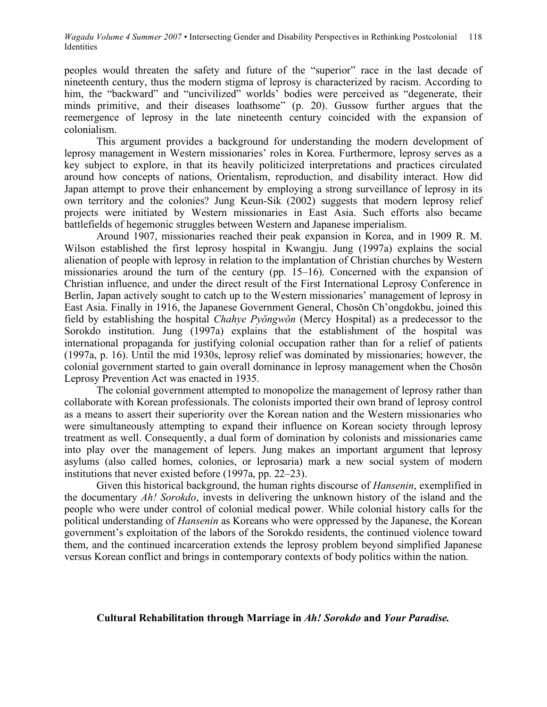peoples would threaten the safety and future of the "superior" race in the last decade of nineteenth century, thus the modern stigma of leprosy is characterized by racism. According to him, the "backward" and "uncivilized" worlds' bodies were perceived as "degenerate, their minds primitive, and their diseases loathsome" (p. 20). Gussow further argues that the reemergence of leprosy in the late nineteenth century coincided with the expansion of colonialism.

This argument provides a background for understanding the modern development of leprosy management in Western missionaries' roles in Korea. Furthermore, leprosy serves as a key subject to explore, in that its heavily politicized interpretations and practices circulated around how concepts of nations, Orientalism, reproduction, and disability interact. How did Japan attempt to prove their enhancement by employing a strong surveillance of leprosy in its own territory and the colonies? Jung Keun-Sik (2002) suggests that modern leprosy relief projects were initiated by Western missionaries in East Asia. Such efforts also became battlefields of hegemonic struggles between Western and Japanese imperialism.

Around 1907, missionaries reached their peak expansion in Korea, and in 1909 R. M. Wilson established the first leprosy hospital in Kwangju. Jung (1997a) explains the social alienation of people with leprosy in relation to the implantation of Christian churches by Western missionaries around the turn of the century (pp. 15–16). Concerned with the expansion of Christian influence, and under the direct result of the First International Leprosy Conference in Berlin, Japan actively sought to catch up to the Western missionaries' management of leprosy in East Asia. Finally in 1916, the Japanese Government General, Chosŏn Ch'ongdokbu, joined this field by establishing the hospital *Chahye Pyŏngwŏn* (Mercy Hospital) as a predecessor to the Sorokdo institution. Jung (1997a) explains that the establishment of the hospital was international propaganda for justifying colonial occupation rather than for a relief of patients (1997a, p. 16). Until the mid 1930s, leprosy relief was dominated by missionaries; however, the colonial government started to gain overall dominance in leprosy management when the Chosŏn Leprosy Prevention Act was enacted in 1935.

The colonial government attempted to monopolize the management of leprosy rather than collaborate with Korean professionals. The colonists imported their own brand of leprosy control as a means to assert their superiority over the Korean nation and the Western missionaries who were simultaneously attempting to expand their influence on Korean society through leprosy treatment as well. Consequently, a dual form of domination by colonists and missionaries came into play over the management of lepers. Jung makes an important argument that leprosy asylums (also called homes, colonies, or leprosaria) mark a new social system of modern institutions that never existed before (1997a, pp. 22–23).

Given this historical background, the human rights discourse of *Hansenin*, exemplified in the documentary *Ah! Sorokdo*, invests in delivering the unknown history of the island and the people who were under control of colonial medical power. While colonial history calls for the political understanding of *Hansenin* as Koreans who were oppressed by the Japanese, the Korean government's exploitation of the labors of the Sorokdo residents, the continued violence toward them, and the continued incarceration extends the leprosy problem beyond simplified Japanese versus Korean conflict and brings in contemporary contexts of body politics within the nation.

#### **Cultural Rehabilitation through Marriage in** *Ah! Sorokdo* **and** *Your Paradise.*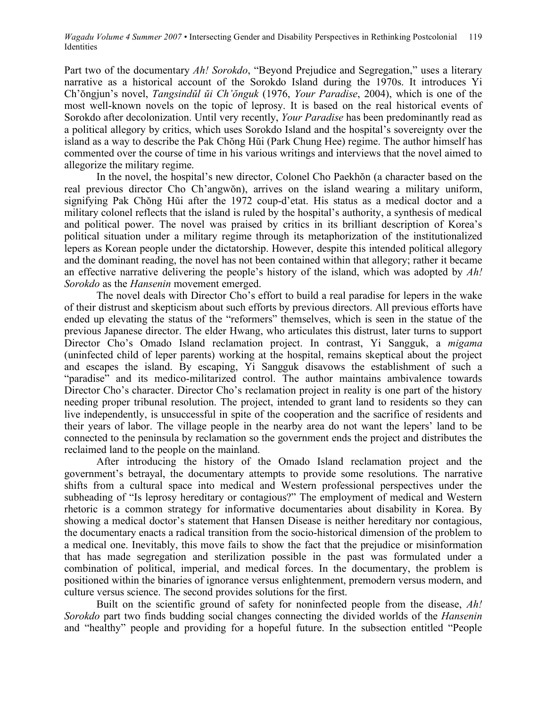Part two of the documentary *Ah! Sorokdo*, "Beyond Prejudice and Segregation," uses a literary narrative as a historical account of the Sorokdo Island during the 1970s. It introduces Yi Ch'ŏngjun's novel, *Tangsindŭl ŭi Ch'ŏnguk* (1976, *Your Paradise*, 2004), which is one of the most well-known novels on the topic of leprosy. It is based on the real historical events of Sorokdo after decolonization. Until very recently, *Your Paradise* has been predominantly read as a political allegory by critics, which uses Sorokdo Island and the hospital's sovereignty over the island as a way to describe the Pak Chŏng Hŭi (Park Chung Hee) regime. The author himself has commented over the course of time in his various writings and interviews that the novel aimed to allegorize the military regime.

In the novel, the hospital's new director, Colonel Cho Paekhŏn (a character based on the real previous director Cho Ch'angwŏn), arrives on the island wearing a military uniform, signifying Pak Chŏng Hŭi after the 1972 coup-d'etat. His status as a medical doctor and a military colonel reflects that the island is ruled by the hospital's authority, a synthesis of medical and political power. The novel was praised by critics in its brilliant description of Korea's political situation under a military regime through its metaphorization of the institutionalized lepers as Korean people under the dictatorship. However, despite this intended political allegory and the dominant reading, the novel has not been contained within that allegory; rather it became an effective narrative delivering the people's history of the island, which was adopted by *Ah! Sorokdo* as the *Hansenin* movement emerged.

The novel deals with Director Cho's effort to build a real paradise for lepers in the wake of their distrust and skepticism about such efforts by previous directors. All previous efforts have ended up elevating the status of the "reformers" themselves, which is seen in the statue of the previous Japanese director. The elder Hwang, who articulates this distrust, later turns to support Director Cho's Omado Island reclamation project. In contrast, Yi Sangguk, a *migama* (uninfected child of leper parents) working at the hospital, remains skeptical about the project and escapes the island. By escaping, Yi Sangguk disavows the establishment of such a "paradise" and its medico-militarized control. The author maintains ambivalence towards Director Cho's character. Director Cho's reclamation project in reality is one part of the history needing proper tribunal resolution. The project, intended to grant land to residents so they can live independently, is unsuccessful in spite of the cooperation and the sacrifice of residents and their years of labor. The village people in the nearby area do not want the lepers' land to be connected to the peninsula by reclamation so the government ends the project and distributes the reclaimed land to the people on the mainland.

After introducing the history of the Omado Island reclamation project and the government's betrayal, the documentary attempts to provide some resolutions. The narrative shifts from a cultural space into medical and Western professional perspectives under the subheading of "Is leprosy hereditary or contagious?" The employment of medical and Western rhetoric is a common strategy for informative documentaries about disability in Korea. By showing a medical doctor's statement that Hansen Disease is neither hereditary nor contagious, the documentary enacts a radical transition from the socio-historical dimension of the problem to a medical one. Inevitably, this move fails to show the fact that the prejudice or misinformation that has made segregation and sterilization possible in the past was formulated under a combination of political, imperial, and medical forces. In the documentary, the problem is positioned within the binaries of ignorance versus enlightenment, premodern versus modern, and culture versus science. The second provides solutions for the first.

Built on the scientific ground of safety for noninfected people from the disease, *Ah! Sorokdo* part two finds budding social changes connecting the divided worlds of the *Hansenin* and "healthy" people and providing for a hopeful future. In the subsection entitled "People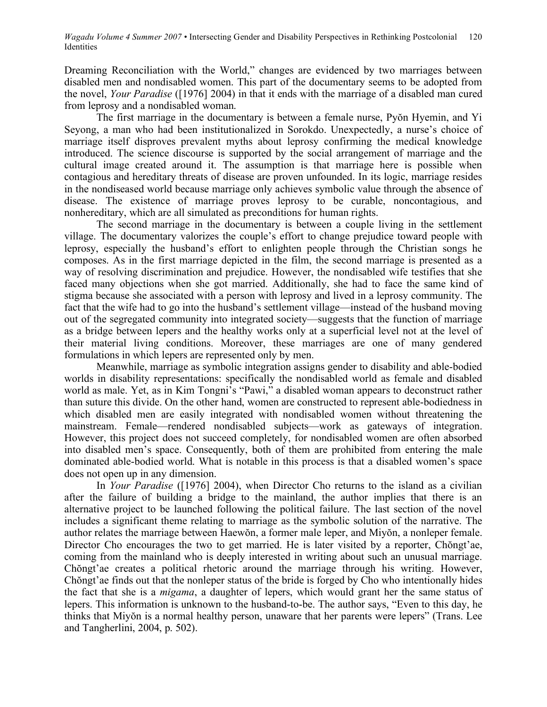Dreaming Reconciliation with the World," changes are evidenced by two marriages between disabled men and nondisabled women. This part of the documentary seems to be adopted from the novel, *Your Paradise* ([1976] 2004) in that it ends with the marriage of a disabled man cured from leprosy and a nondisabled woman.

The first marriage in the documentary is between a female nurse, Pyŏn Hyemin, and Yi Seyong, a man who had been institutionalized in Sorokdo. Unexpectedly, a nurse's choice of marriage itself disproves prevalent myths about leprosy confirming the medical knowledge introduced. The science discourse is supported by the social arrangement of marriage and the cultural image created around it. The assumption is that marriage here is possible when contagious and hereditary threats of disease are proven unfounded. In its logic, marriage resides in the nondiseased world because marriage only achieves symbolic value through the absence of disease. The existence of marriage proves leprosy to be curable, noncontagious, and nonhereditary, which are all simulated as preconditions for human rights.

The second marriage in the documentary is between a couple living in the settlement village. The documentary valorizes the couple's effort to change prejudice toward people with leprosy, especially the husband's effort to enlighten people through the Christian songs he composes. As in the first marriage depicted in the film, the second marriage is presented as a way of resolving discrimination and prejudice. However, the nondisabled wife testifies that she faced many objections when she got married. Additionally, she had to face the same kind of stigma because she associated with a person with leprosy and lived in a leprosy community. The fact that the wife had to go into the husband's settlement village—instead of the husband moving out of the segregated community into integrated society—suggests that the function of marriage as a bridge between lepers and the healthy works only at a superficial level not at the level of their material living conditions. Moreover, these marriages are one of many gendered formulations in which lepers are represented only by men.

Meanwhile, marriage as symbolic integration assigns gender to disability and able-bodied worlds in disability representations: specifically the nondisabled world as female and disabled world as male. Yet, as in Kim Tongni's "Pawi," a disabled woman appears to deconstruct rather than suture this divide. On the other hand, women are constructed to represent able-bodiedness in which disabled men are easily integrated with nondisabled women without threatening the mainstream. Female—rendered nondisabled subjects—work as gateways of integration. However, this project does not succeed completely, for nondisabled women are often absorbed into disabled men's space. Consequently, both of them are prohibited from entering the male dominated able-bodied world. What is notable in this process is that a disabled women's space does not open up in any dimension.

In *Your Paradise* ([1976] 2004), when Director Cho returns to the island as a civilian after the failure of building a bridge to the mainland, the author implies that there is an alternative project to be launched following the political failure. The last section of the novel includes a significant theme relating to marriage as the symbolic solution of the narrative. The author relates the marriage between Haewŏn, a former male leper, and Miyŏn, a nonleper female. Director Cho encourages the two to get married. He is later visited by a reporter, Chŏngt'ae, coming from the mainland who is deeply interested in writing about such an unusual marriage. Chŏngt'ae creates a political rhetoric around the marriage through his writing. However, Chŏngt'ae finds out that the nonleper status of the bride is forged by Cho who intentionally hides the fact that she is a *migama*, a daughter of lepers, which would grant her the same status of lepers. This information is unknown to the husband-to-be. The author says, "Even to this day, he thinks that Miyŏn is a normal healthy person, unaware that her parents were lepers" (Trans. Lee and Tangherlini, 2004, p. 502).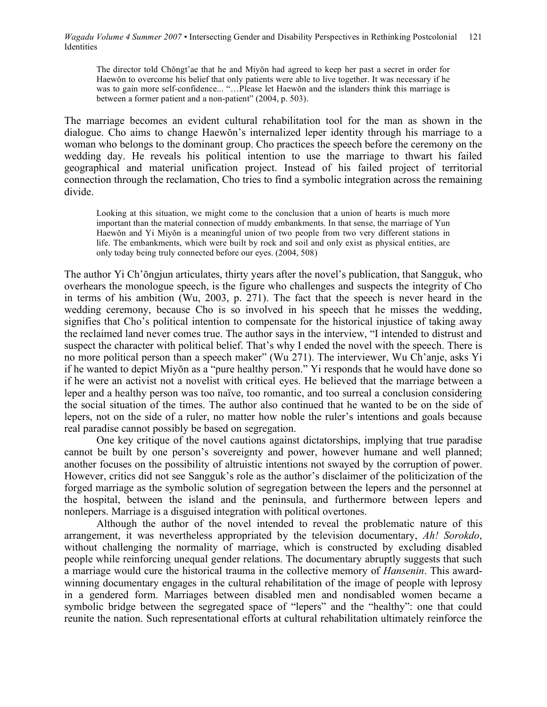The director told Chŏngt'ae that he and Miyŏn had agreed to keep her past a secret in order for Haewŏn to overcome his belief that only patients were able to live together. It was necessary if he was to gain more self-confidence... "...Please let Haewŏn and the islanders think this marriage is between a former patient and a non-patient" (2004, p. 503).

The marriage becomes an evident cultural rehabilitation tool for the man as shown in the dialogue. Cho aims to change Haewŏn's internalized leper identity through his marriage to a woman who belongs to the dominant group. Cho practices the speech before the ceremony on the wedding day. He reveals his political intention to use the marriage to thwart his failed geographical and material unification project. Instead of his failed project of territorial connection through the reclamation, Cho tries to find a symbolic integration across the remaining divide.

Looking at this situation, we might come to the conclusion that a union of hearts is much more important than the material connection of muddy embankments. In that sense, the marriage of Yun Haewŏn and Yi Miyŏn is a meaningful union of two people from two very different stations in life. The embankments, which were built by rock and soil and only exist as physical entities, are only today being truly connected before our eyes. (2004, 508)

The author Yi Ch'ŏngjun articulates, thirty years after the novel's publication, that Sangguk, who overhears the monologue speech, is the figure who challenges and suspects the integrity of Cho in terms of his ambition (Wu, 2003, p. 271). The fact that the speech is never heard in the wedding ceremony, because Cho is so involved in his speech that he misses the wedding, signifies that Cho's political intention to compensate for the historical injustice of taking away the reclaimed land never comes true. The author says in the interview, "I intended to distrust and suspect the character with political belief. That's why I ended the novel with the speech. There is no more political person than a speech maker" (Wu 271). The interviewer, Wu Ch'anje, asks Yi if he wanted to depict Miyŏn as a "pure healthy person." Yi responds that he would have done so if he were an activist not a novelist with critical eyes. He believed that the marriage between a leper and a healthy person was too naïve, too romantic, and too surreal a conclusion considering the social situation of the times. The author also continued that he wanted to be on the side of lepers, not on the side of a ruler, no matter how noble the ruler's intentions and goals because real paradise cannot possibly be based on segregation.

One key critique of the novel cautions against dictatorships, implying that true paradise cannot be built by one person's sovereignty and power, however humane and well planned; another focuses on the possibility of altruistic intentions not swayed by the corruption of power. However, critics did not see Sangguk's role as the author's disclaimer of the politicization of the forged marriage as the symbolic solution of segregation between the lepers and the personnel at the hospital, between the island and the peninsula, and furthermore between lepers and nonlepers. Marriage is a disguised integration with political overtones.

Although the author of the novel intended to reveal the problematic nature of this arrangement, it was nevertheless appropriated by the television documentary, *Ah! Sorokdo*, without challenging the normality of marriage, which is constructed by excluding disabled people while reinforcing unequal gender relations. The documentary abruptly suggests that such a marriage would cure the historical trauma in the collective memory of *Hansenin*. This awardwinning documentary engages in the cultural rehabilitation of the image of people with leprosy in a gendered form. Marriages between disabled men and nondisabled women became a symbolic bridge between the segregated space of "lepers" and the "healthy": one that could reunite the nation. Such representational efforts at cultural rehabilitation ultimately reinforce the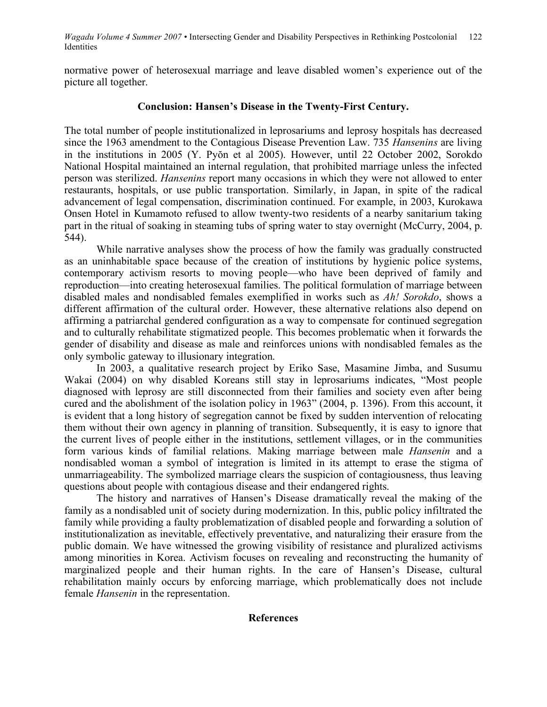normative power of heterosexual marriage and leave disabled women's experience out of the picture all together.

## **Conclusion: Hansen's Disease in the Twenty-First Century.**

The total number of people institutionalized in leprosariums and leprosy hospitals has decreased since the 1963 amendment to the Contagious Disease Prevention Law. 735 *Hansenins* are living in the institutions in 2005 (Y. Pyŏn et al 2005). However, until 22 October 2002, Sorokdo National Hospital maintained an internal regulation, that prohibited marriage unless the infected person was sterilized. *Hansenins* report many occasions in which they were not allowed to enter restaurants, hospitals, or use public transportation. Similarly, in Japan, in spite of the radical advancement of legal compensation, discrimination continued. For example, in 2003, Kurokawa Onsen Hotel in Kumamoto refused to allow twenty-two residents of a nearby sanitarium taking part in the ritual of soaking in steaming tubs of spring water to stay overnight (McCurry, 2004, p. 544).

While narrative analyses show the process of how the family was gradually constructed as an uninhabitable space because of the creation of institutions by hygienic police systems, contemporary activism resorts to moving people—who have been deprived of family and reproduction—into creating heterosexual families. The political formulation of marriage between disabled males and nondisabled females exemplified in works such as *Ah! Sorokdo*, shows a different affirmation of the cultural order. However, these alternative relations also depend on affirming a patriarchal gendered configuration as a way to compensate for continued segregation and to culturally rehabilitate stigmatized people. This becomes problematic when it forwards the gender of disability and disease as male and reinforces unions with nondisabled females as the only symbolic gateway to illusionary integration.

In 2003, a qualitative research project by Eriko Sase, Masamine Jimba, and Susumu Wakai (2004) on why disabled Koreans still stay in leprosariums indicates, "Most people diagnosed with leprosy are still disconnected from their families and society even after being cured and the abolishment of the isolation policy in 1963" (2004, p. 1396). From this account, it is evident that a long history of segregation cannot be fixed by sudden intervention of relocating them without their own agency in planning of transition. Subsequently, it is easy to ignore that the current lives of people either in the institutions, settlement villages, or in the communities form various kinds of familial relations. Making marriage between male *Hansenin* and a nondisabled woman a symbol of integration is limited in its attempt to erase the stigma of unmarriageability. The symbolized marriage clears the suspicion of contagiousness, thus leaving questions about people with contagious disease and their endangered rights.

The history and narratives of Hansen's Disease dramatically reveal the making of the family as a nondisabled unit of society during modernization. In this, public policy infiltrated the family while providing a faulty problematization of disabled people and forwarding a solution of institutionalization as inevitable, effectively preventative, and naturalizing their erasure from the public domain. We have witnessed the growing visibility of resistance and pluralized activisms among minorities in Korea. Activism focuses on revealing and reconstructing the humanity of marginalized people and their human rights. In the care of Hansen's Disease, cultural rehabilitation mainly occurs by enforcing marriage, which problematically does not include female *Hansenin* in the representation.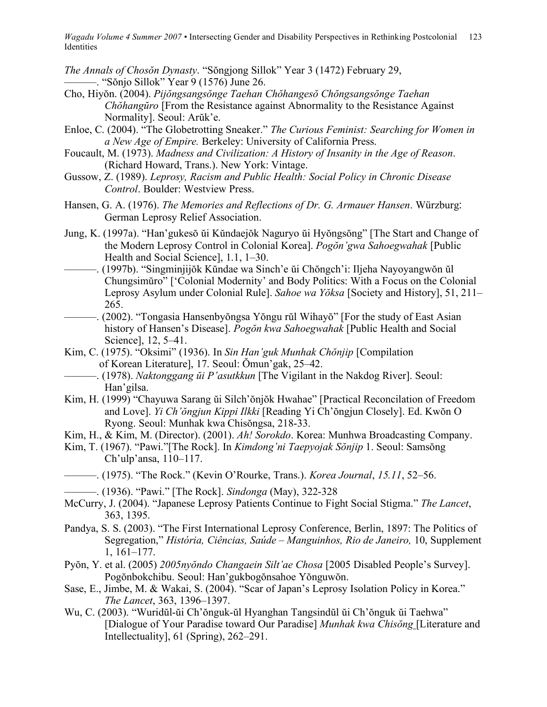*The Annals of Chosŏn Dynasty*. "Sŏngjong Sillok" Year 3 (1472) February 29, ———. "Sŏnjo Sillok" Year 9 (1576) June 26.

- Cho, Hiyŏn. (2004). *Pijŏngsangsŏnge Taehan Chŏhangesŏ Chŏngsangsŏnge Taehan Chŏhangŭro* [From the Resistance against Abnormality to the Resistance Against Normality]. Seoul: Arŭk'e.
- Enloe, C. (2004). "The Globetrotting Sneaker." *The Curious Feminist: Searching for Women in a New Age of Empire.* Berkeley: University of California Press.
- Foucault, M. (1973). *Madness and Civilization: A History of Insanity in the Age of Reason*. (Richard Howard, Trans.). New York: Vintage.
- Gussow, Z. (1989). *Leprosy, Racism and Public Health: Social Policy in Chronic Disease Control*. Boulder: Westview Press.
- Hansen, G. A. (1976). *The Memories and Reflections of Dr. G. Armauer Hansen*. Würzburg: German Leprosy Relief Association.
- Jung, K. (1997a). "Han'gukesŏ ŭi Kŭndaejŏk Naguryo ŭi Hyŏngsŏng" [The Start and Change of the Modern Leprosy Control in Colonial Korea]. *Pogŏn'gwa Sahoegwahak* [Public Health and Social Science], 1.1, 1–30.
- ———. (1997b). "Singminjijŏk Kŭndae wa Sinch'e ŭi Chŏngch'i: Iljeha Nayoyangwŏn ŭl Chungsimŭro" ['Colonial Modernity' and Body Politics: With a Focus on the Colonial Leprosy Asylum under Colonial Rule]. *Sahoe wa Yŏksa* [Society and History], 51, 211– 265.
- ———. (2002). "Tongasia Hansenbyŏngsa Yŏngu rŭl Wihayŏ" [For the study of East Asian history of Hansen's Disease]. *Pogŏn kwa Sahoegwahak* [Public Health and Social Science], 12, 5–41.
- Kim, C. (1975). "Oksimi" (1936). In *Sin Han'guk Munhak Chŏnjip* [Compilation of Korean Literature], 17. Seoul: Ŏmun'gak, 25–42.
- ———. (1978). *Naktonggang ŭi P'asutkkun* [The Vigilant in the Nakdog River]. Seoul: Han'gilsa.
- Kim, H. (1999) "Chayuwa Sarang ŭi Silch'ŏnjŏk Hwahae" [Practical Reconcilation of Freedom and Love]. *Yi Ch'ŏngjun Kippi Ilkki* [Reading Yi Ch'ŏngjun Closely]. Ed. Kwŏn O Ryong. Seoul: Munhak kwa Chisŏngsa, 218-33.
- Kim, H., & Kim, M. (Director). (2001). *Ah! Sorokdo*. Korea: Munhwa Broadcasting Company.
- Kim, T. (1967). "Pawi."[The Rock]. In *Kimdong'ni Taepyojak Sŏnjip* 1. Seoul: Samsŏng Ch'ulp'ansa, 110–117.
- ———. (1975). "The Rock." (Kevin O'Rourke, Trans.). *Korea Journal*, *15.11*, 52–56.
- ———. (1936). "Pawi." [The Rock]. *Sindonga* (May), 322-328
- McCurry, J. (2004). "Japanese Leprosy Patients Continue to Fight Social Stigma." *The Lancet*, 363, 1395.
- Pandya, S. S. (2003). "The First International Leprosy Conference, Berlin, 1897: The Politics of Segregation," *História, Ciências, Saúde – Manguinhos, Rio de Janeiro,* 10, Supplement 1, 161–177.
- Pyŏn, Y. et al. (2005) *2005nyŏndo Changaein Silt'ae Chosa* [2005 Disabled People's Survey]. Pogŏnbokchibu. Seoul: Han'gukbogŏnsahoe Yŏnguwŏn.
- Sase, E., Jimbe, M. & Wakai, S. (2004). "Scar of Japan's Leprosy Isolation Policy in Korea." *The Lancet*, 363, 1396–1397.
- Wu, C. (2003). "Wuridŭl-ŭi Ch'ŏnguk-ŭl Hyanghan Tangsindŭl ŭi Ch'ŏnguk ŭi Taehwa" [Dialogue of Your Paradise toward Our Paradise] *Munhak kwa Chisŏng* [Literature and Intellectuality], 61 (Spring), 262–291.